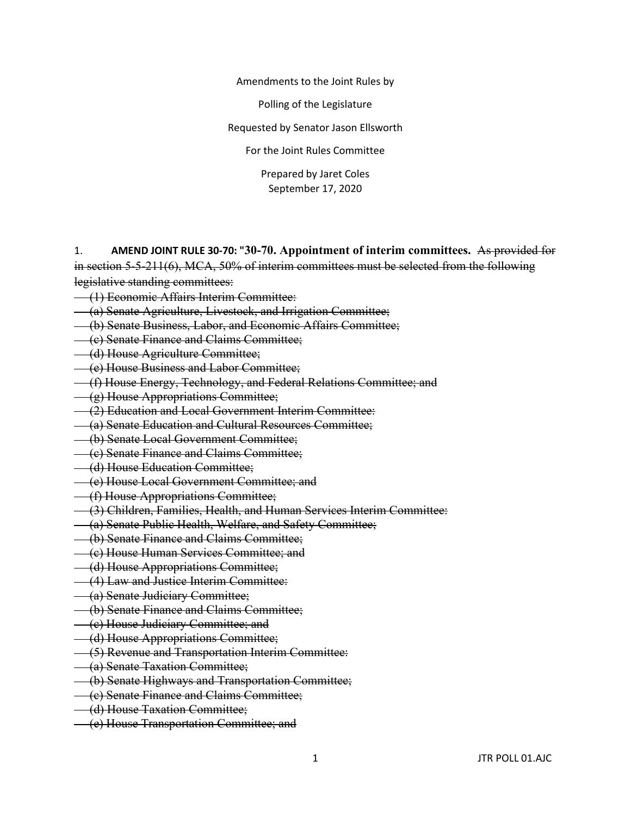Amendments to the Joint Rules by

Polling of the Legislature

Requested by Senator Jason Ellsworth

For the Joint Rules Committee

Prepared by Jaret Coles September 17, 2020

1. **AMEND JOINT RULE 30-70: "30-70. Appointment of interim committees.** As provided for in section 5-5-211(6), MCA, 50% of interim committees must be selected from the following legislative standing committees:

- (1) Economic Affairs Interim Committee:
- (a) Senate Agriculture, Livestock, and Irrigation Committee;
- (b) Senate Business, Labor, and Economic Affairs Committee;
- (c) Senate Finance and Claims Committee;
- (d) House Agriculture Committee;
- (e) House Business and Labor Committee;
- (f) House Energy, Technology, and Federal Relations Committee; and
- (g) House Appropriations Committee;
- (2) Education and Local Government Interim Committee:
- (a) Senate Education and Cultural Resources Committee;
- (b) Senate Local Government Committee;
- (c) Senate Finance and Claims Committee;
- (d) House Education Committee;
- (e) House Local Government Committee; and
- (f) House Appropriations Committee;
- (3) Children, Families, Health, and Human Services Interim Committee:
- (a) Senate Public Health, Welfare, and Safety Committee;
- (b) Senate Finance and Claims Committee;
- (c) House Human Services Committee; and
- (d) House Appropriations Committee;
- (4) Law and Justice Interim Committee:
- (a) Senate Judiciary Committee;
- (b) Senate Finance and Claims Committee;
- (c) House Judiciary Committee; and
- (d) House Appropriations Committee;
- (5) Revenue and Transportation Interim Committee:
- (a) Senate Taxation Committee;
- (b) Senate Highways and Transportation Committee;
- (c) Senate Finance and Claims Committee;
- (d) House Taxation Committee;
- (e) House Transportation Committee; and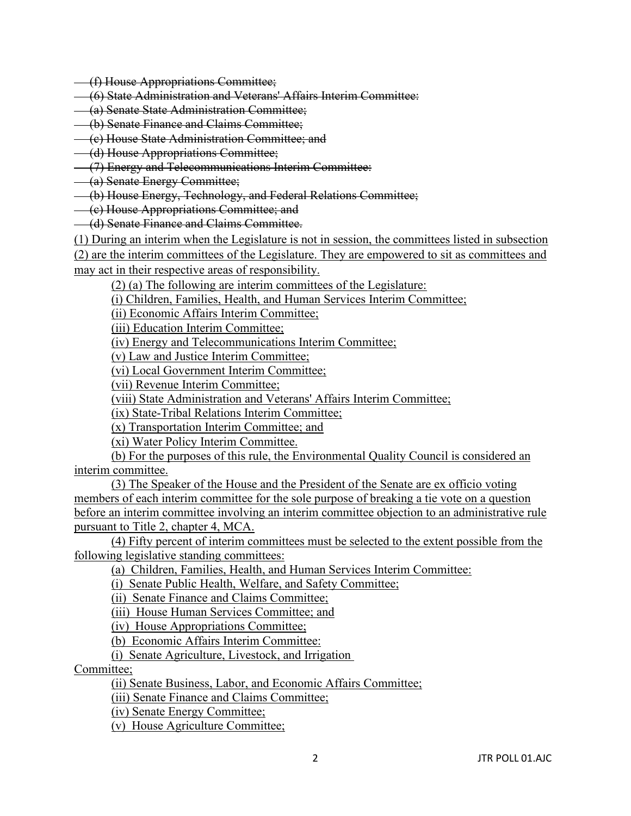- (f) House Appropriations Committee;
- (6) State Administration and Veterans' Affairs Interim Committee:
- (a) Senate State Administration Committee;
- (b) Senate Finance and Claims Committee;
- (c) House State Administration Committee; and
- (d) House Appropriations Committee;
- (7) Energy and Telecommunications Interim Committee:
- (a) Senate Energy Committee;
- (b) House Energy, Technology, and Federal Relations Committee;
- (c) House Appropriations Committee; and
- (d) Senate Finance and Claims Committee.
- (1) During an interim when the Legislature is not in session, the committees listed in subsection

(2) are the interim committees of the Legislature. They are empowered to sit as committees and may act in their respective areas of responsibility.

(2) (a) The following are interim committees of the Legislature:

(i) Children, Families, Health, and Human Services Interim Committee;

(ii) Economic Affairs Interim Committee;

(iii) Education Interim Committee;

(iv) Energy and Telecommunications Interim Committee;

(v) Law and Justice Interim Committee;

(vi) Local Government Interim Committee;

(vii) Revenue Interim Committee;

(viii) State Administration and Veterans' Affairs Interim Committee;

(ix) State-Tribal Relations Interim Committee;

(x) Transportation Interim Committee; and

(xi) Water Policy Interim Committee.

(b) For the purposes of this rule, the Environmental Quality Council is considered an interim committee.

(3) The Speaker of the House and the President of the Senate are ex officio voting members of each interim committee for the sole purpose of breaking a tie vote on a question before an interim committee involving an interim committee objection to an administrative rule pursuant to Title 2, chapter 4, MCA.

(4) Fifty percent of interim committees must be selected to the extent possible from the following legislative standing committees:

(a) Children, Families, Health, and Human Services Interim Committee:

(i) Senate Public Health, Welfare, and Safety Committee;

(ii) Senate Finance and Claims Committee;

(iii) House Human Services Committee; and

(iv) House Appropriations Committee;

(b) Economic Affairs Interim Committee:

(i) Senate Agriculture, Livestock, and Irrigation

Committee;

(ii) Senate Business, Labor, and Economic Affairs Committee;

(iii) Senate Finance and Claims Committee;

(iv) Senate Energy Committee;

(v) House Agriculture Committee;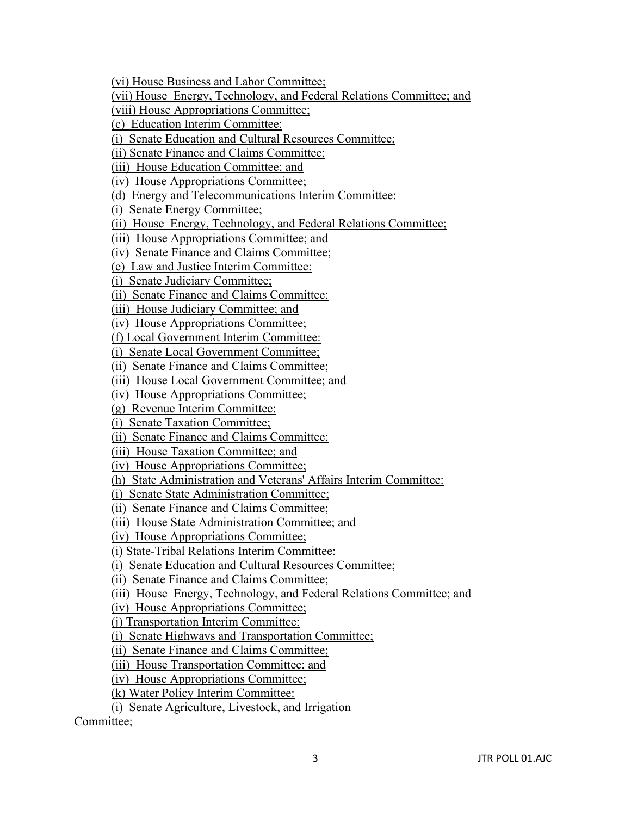(vi) House Business and Labor Committee;

(vii) House Energy, Technology, and Federal Relations Committee; and

(viii) House Appropriations Committee;

(c) Education Interim Committee:

(i) Senate Education and Cultural Resources Committee;

(ii) Senate Finance and Claims Committee;

(iii) House Education Committee; and

(iv) House Appropriations Committee;

(d) Energy and Telecommunications Interim Committee:

(i) Senate Energy Committee;

(ii) House Energy, Technology, and Federal Relations Committee;

(iii) House Appropriations Committee; and

(iv) Senate Finance and Claims Committee;

(e) Law and Justice Interim Committee:

(i) Senate Judiciary Committee;

(ii) Senate Finance and Claims Committee;

(iii) House Judiciary Committee; and

(iv) House Appropriations Committee;

(f) Local Government Interim Committee:

(i) Senate Local Government Committee;

(ii) Senate Finance and Claims Committee;

(iii) House Local Government Committee; and

(iv) House Appropriations Committee;

(g) Revenue Interim Committee:

(i) Senate Taxation Committee;

(ii) Senate Finance and Claims Committee;

(iii) House Taxation Committee; and

(iv) House Appropriations Committee;

(h) State Administration and Veterans' Affairs Interim Committee:

(i) Senate State Administration Committee;

(ii) Senate Finance and Claims Committee;

(iii) House State Administration Committee; and

(iv) House Appropriations Committee;

(i) State-Tribal Relations Interim Committee:

(i) Senate Education and Cultural Resources Committee;

(ii) Senate Finance and Claims Committee;

(iii) House Energy, Technology, and Federal Relations Committee; and

(iv) House Appropriations Committee;

(j) Transportation Interim Committee:

(i) Senate Highways and Transportation Committee;

(ii) Senate Finance and Claims Committee;

(iii) House Transportation Committee; and

(iv) House Appropriations Committee;

(k) Water Policy Interim Committee:

(i) Senate Agriculture, Livestock, and Irrigation

Committee;